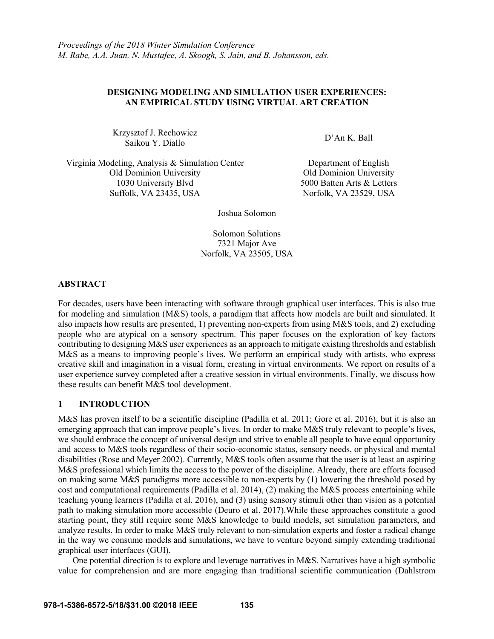## **DESIGNING MODELING AND SIMULATION USER EXPERIENCES: AN EMPIRICAL STUDY USING VIRTUAL ART CREATION**

Krzysztof J. Rechowicz Saikou Y. Diallo D'An K. Ball<br>Saikou Y. Diallo

Virginia Modeling, Analysis & Simulation Center **Department of English** Old Dominion University Old Dominion University 1030 University Blvd 5000 Batten Arts & Letters Suffolk, VA 23435, USA Norfolk, VA 23529, USA

Joshua Solomon

Solomon Solutions 7321 Major Ave Norfolk, VA 23505, USA

# **ABSTRACT**

For decades, users have been interacting with software through graphical user interfaces. This is also true for modeling and simulation (M&S) tools, a paradigm that affects how models are built and simulated. It also impacts how results are presented, 1) preventing non-experts from using M&S tools, and 2) excluding people who are atypical on a sensory spectrum. This paper focuses on the exploration of key factors contributing to designing M&S user experiences as an approach to mitigate existing thresholds and establish M&S as a means to improving people's lives. We perform an empirical study with artists, who express creative skill and imagination in a visual form, creating in virtual environments. We report on results of a user experience survey completed after a creative session in virtual environments. Finally, we discuss how these results can benefit M&S tool development.

# **1 INTRODUCTION**

M&S has proven itself to be a scientific discipline (Padilla et al. 2011; Gore et al. 2016), but it is also an emerging approach that can improve people's lives. In order to make M&S truly relevant to people's lives, we should embrace the concept of universal design and strive to enable all people to have equal opportunity and access to M&S tools regardless of their socio-economic status, sensory needs, or physical and mental disabilities (Rose and Meyer 2002). Currently, M&S tools often assume that the user is at least an aspiring M&S professional which limits the access to the power of the discipline. Already, there are efforts focused on making some M&S paradigms more accessible to non-experts by (1) lowering the threshold posed by cost and computational requirements (Padilla et al. 2014), (2) making the M&S process entertaining while teaching young learners (Padilla et al. 2016), and (3) using sensory stimuli other than vision as a potential path to making simulation more accessible (Deuro et al. 2017).While these approaches constitute a good starting point, they still require some M&S knowledge to build models, set simulation parameters, and analyze results. In order to make M&S truly relevant to non-simulation experts and foster a radical change in the way we consume models and simulations, we have to venture beyond simply extending traditional graphical user interfaces (GUI).

One potential direction is to explore and leverage narratives in M&S. Narratives have a high symbolic value for comprehension and are more engaging than traditional scientific communication (Dahlstrom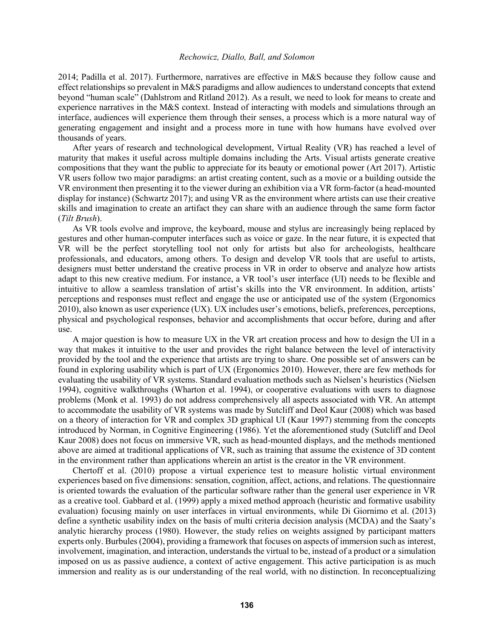2014; Padilla et al. 2017). Furthermore, narratives are effective in M&S because they follow cause and effect relationships so prevalent in M&S paradigms and allow audiences to understand concepts that extend beyond "human scale" (Dahlstrom and Ritland 2012). As a result, we need to look for means to create and experience narratives in the M&S context. Instead of interacting with models and simulations through an interface, audiences will experience them through their senses, a process which is a more natural way of generating engagement and insight and a process more in tune with how humans have evolved over thousands of years.

After years of research and technological development, Virtual Reality (VR) has reached a level of maturity that makes it useful across multiple domains including the Arts. Visual artists generate creative compositions that they want the public to appreciate for its beauty or emotional power (Art 2017). Artistic VR users follow two major paradigms: an artist creating content, such as a movie or a building outside the VR environment then presenting it to the viewer during an exhibition via a VR form-factor (a head-mounted display for instance) (Schwartz 2017); and using VR as the environment where artists can use their creative skills and imagination to create an artifact they can share with an audience through the same form factor (*Tilt Brush*).

As VR tools evolve and improve, the keyboard, mouse and stylus are increasingly being replaced by gestures and other human-computer interfaces such as voice or gaze. In the near future, it is expected that VR will be the perfect storytelling tool not only for artists but also for archeologists, healthcare professionals, and educators, among others. To design and develop VR tools that are useful to artists, designers must better understand the creative process in VR in order to observe and analyze how artists adapt to this new creative medium. For instance, a VR tool's user interface (UI) needs to be flexible and intuitive to allow a seamless translation of artist's skills into the VR environment. In addition, artists' perceptions and responses must reflect and engage the use or anticipated use of the system (Ergonomics 2010), also known as user experience (UX). UX includes user's emotions, beliefs, preferences, perceptions, physical and psychological responses, behavior and accomplishments that occur before, during and after use.

A major question is how to measure UX in the VR art creation process and how to design the UI in a way that makes it intuitive to the user and provides the right balance between the level of interactivity provided by the tool and the experience that artists are trying to share. One possible set of answers can be found in exploring usability which is part of UX (Ergonomics 2010). However, there are few methods for evaluating the usability of VR systems. Standard evaluation methods such as Nielsen's heuristics (Nielsen 1994), cognitive walkthroughs (Wharton et al. 1994), or cooperative evaluations with users to diagnose problems (Monk et al. 1993) do not address comprehensively all aspects associated with VR. An attempt to accommodate the usability of VR systems was made by Sutcliff and Deol Kaur (2008) which was based on a theory of interaction for VR and complex 3D graphical UI (Kaur 1997) stemming from the concepts introduced by Norman, in Cognitive Engineering (1986). Yet the aforementioned study (Sutcliff and Deol Kaur 2008) does not focus on immersive VR, such as head-mounted displays, and the methods mentioned above are aimed at traditional applications of VR, such as training that assume the existence of 3D content in the environment rather than applications wherein an artist is the creator in the VR environment.

Chertoff et al. (2010) propose a virtual experience test to measure holistic virtual environment experiences based on five dimensions: sensation, cognition, affect, actions, and relations. The questionnaire is oriented towards the evaluation of the particular software rather than the general user experience in VR as a creative tool. Gabbard et al. (1999) apply a mixed method approach (heuristic and formative usability evaluation) focusing mainly on user interfaces in virtual environments, while Di Giornimo et al. (2013) define a synthetic usability index on the basis of multi criteria decision analysis (MCDA) and the Saaty's analytic hierarchy process (1980). However, the study relies on weights assigned by participant matters experts only. Burbules (2004), providing a framework that focuses on aspects of immersion such as interest, involvement, imagination, and interaction, understands the virtual to be, instead of a product or a simulation imposed on us as passive audience, a context of active engagement. This active participation is as much immersion and reality as is our understanding of the real world, with no distinction. In reconceptualizing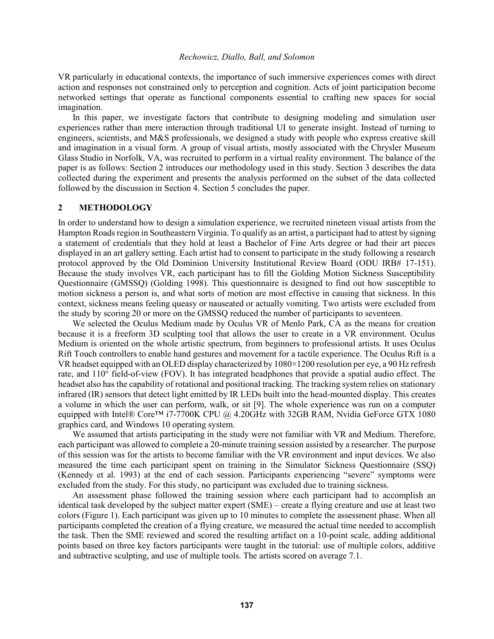VR particularly in educational contexts, the importance of such immersive experiences comes with direct action and responses not constrained only to perception and cognition. Acts of joint participation become networked settings that operate as functional components essential to crafting new spaces for social imagination.

In this paper, we investigate factors that contribute to designing modeling and simulation user experiences rather than mere interaction through traditional UI to generate insight. Instead of turning to engineers, scientists, and M&S professionals, we designed a study with people who express creative skill and imagination in a visual form. A group of visual artists, mostly associated with the Chrysler Museum Glass Studio in Norfolk, VA, was recruited to perform in a virtual reality environment. The balance of the paper is as follows: Section 2 introduces our methodology used in this study. Section 3 describes the data collected during the experiment and presents the analysis performed on the subset of the data collected followed by the discussion in Section 4. Section 5 concludes the paper.

### **2 METHODOLOGY**

In order to understand how to design a simulation experience, we recruited nineteen visual artists from the Hampton Roads region in Southeastern Virginia. To qualify as an artist, a participant had to attest by signing a statement of credentials that they hold at least a Bachelor of Fine Arts degree or had their art pieces displayed in an art gallery setting. Each artist had to consent to participate in the study following a research protocol approved by the Old Dominion University Institutional Review Board (ODU IRB# 17-151). Because the study involves VR, each participant has to fill the Golding Motion Sickness Susceptibility Questionnaire (GMSSQ) (Golding 1998). This questionnaire is designed to find out how susceptible to motion sickness a person is, and what sorts of motion are most effective in causing that sickness. In this context, sickness means feeling queasy or nauseated or actually vomiting. Two artists were excluded from the study by scoring 20 or more on the GMSSQ reduced the number of participants to seventeen.

We selected the Oculus Medium made by Oculus VR of Menlo Park, CA as the means for creation because it is a freeform 3D sculpting tool that allows the user to create in a VR environment. Oculus Medium is oriented on the whole artistic spectrum, from beginners to professional artists. It uses Oculus Rift Touch controllers to enable hand gestures and movement for a tactile experience. The Oculus Rift is a VR headset equipped with an OLED display characterized by 1080×1200 resolution per eye, a 90 Hz refresh rate, and 110° field-of-view (FOV). It has integrated headphones that provide a spatial audio effect. The headset also has the capability of rotational and positional tracking. The tracking system relies on stationary infrared (IR) sensors that detect light emitted by IR LEDs built into the head-mounted display. This creates a volume in which the user can perform, walk, or sit [9]. The whole experience was run on a computer equipped with Intel® Core™ i7-7700K CPU @ 4.20GHz with 32GB RAM, Nvidia GeForce GTX 1080 graphics card, and Windows 10 operating system.

We assumed that artists participating in the study were not familiar with VR and Medium. Therefore, each participant was allowed to complete a 20-minute training session assisted by a researcher. The purpose of this session was for the artists to become familiar with the VR environment and input devices. We also measured the time each participant spent on training in the Simulator Sickness Questionnaire (SSQ) (Kennedy et al. 1993) at the end of each session. Participants experiencing "severe" symptoms were excluded from the study. For this study, no participant was excluded due to training sickness.

An assessment phase followed the training session where each participant had to accomplish an identical task developed by the subject matter expert (SME) – create a flying creature and use at least two colors (Figure 1). Each participant was given up to 10 minutes to complete the assessment phase. When all participants completed the creation of a flying creature, we measured the actual time needed to accomplish the task. Then the SME reviewed and scored the resulting artifact on a 10-point scale, adding additional points based on three key factors participants were taught in the tutorial: use of multiple colors, additive and subtractive sculpting, and use of multiple tools. The artists scored on average 7.1.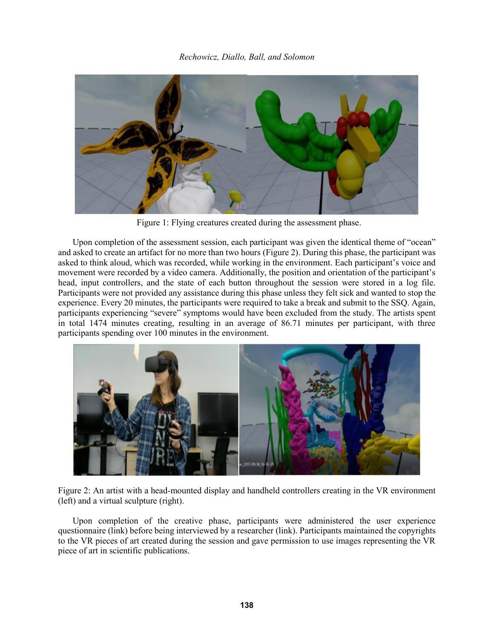

Figure 1: Flying creatures created during the assessment phase.

Upon completion of the assessment session, each participant was given the identical theme of "ocean" and asked to create an artifact for no more than two hours (Figure 2). During this phase, the participant was asked to think aloud, which was recorded, while working in the environment. Each participant's voice and movement were recorded by a video camera. Additionally, the position and orientation of the participant's head, input controllers, and the state of each button throughout the session were stored in a log file. Participants were not provided any assistance during this phase unless they felt sick and wanted to stop the experience. Every 20 minutes, the participants were required to take a break and submit to the SSQ. Again, participants experiencing "severe" symptoms would have been excluded from the study. The artists spent in total 1474 minutes creating, resulting in an average of 86.71 minutes per participant, with three participants spending over 100 minutes in the environment.



Figure 2: An artist with a head-mounted display and handheld controllers creating in the VR environment (left) and a virtual sculpture (right).

Upon completion of the creative phase, participants were administered the user experience questionnaire (link) before being interviewed by a researcher (link). Participants maintained the copyrights to the VR pieces of art created during the session and gave permission to use images representing the VR piece of art in scientific publications.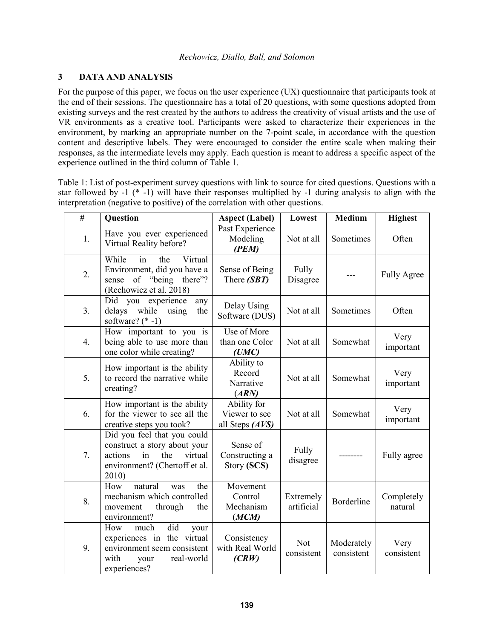# **3 DATA AND ANALYSIS**

For the purpose of this paper, we focus on the user experience (UX) questionnaire that participants took at the end of their sessions. The questionnaire has a total of 20 questions, with some questions adopted from existing surveys and the rest created by the authors to address the creativity of visual artists and the use of VR environments as a creative tool. Participants were asked to characterize their experiences in the environment, by marking an appropriate number on the 7-point scale, in accordance with the question content and descriptive labels. They were encouraged to consider the entire scale when making their responses, as the intermediate levels may apply. Each question is meant to address a specific aspect of the experience outlined in the third column of Table 1.

Table 1: List of post-experiment survey questions with link to source for cited questions. Questions with a star followed by -1 (\* -1) will have their responses multiplied by -1 during analysis to align with the interpretation (negative to positive) of the correlation with other questions.

| $\overline{t}$   | <b>Question</b>                                                                                                                          | <b>Aspect (Label)</b>                           | Lowest                  | <b>Medium</b>            | <b>Highest</b>        |
|------------------|------------------------------------------------------------------------------------------------------------------------------------------|-------------------------------------------------|-------------------------|--------------------------|-----------------------|
| 1.               | Have you ever experienced<br>Virtual Reality before?                                                                                     | Past Experience<br>Modeling<br>(PEM)            | Not at all              | Sometimes                | Often                 |
| 2.               | While<br>Virtual<br>in<br>the<br>Environment, did you have a<br>sense of "being there"?<br>(Rechowicz et al. 2018)                       | Sense of Being<br>There (SBT)                   | Fully<br>Disagree       |                          | <b>Fully Agree</b>    |
| 3.               | Did you<br>experience<br>any<br>delays<br>while<br>using<br>the<br>software? $(* -1)$                                                    | Delay Using<br>Software (DUS)                   | Not at all              | Sometimes                | Often                 |
| $\overline{4}$ . | How important to you is<br>being able to use more than<br>one color while creating?                                                      | Use of More<br>than one Color<br>(UMC)          | Not at all              | Somewhat                 | Very<br>important     |
| 5.               | How important is the ability<br>to record the narrative while<br>creating?                                                               | Ability to<br>Record<br>Narrative<br>(ARN)      | Not at all              | Somewhat                 | Very<br>important     |
| 6.               | How important is the ability<br>for the viewer to see all the<br>creative steps you took?                                                | Ability for<br>Viewer to see<br>all Steps (AVS) | Not at all              | Somewhat                 | Very<br>important     |
| 7.               | Did you feel that you could<br>construct a story about your<br>the<br>actions<br>virtual<br>in<br>environment? (Chertoff et al.<br>2010) | Sense of<br>Constructing a<br>Story (SCS)       | Fully<br>disagree       |                          | Fully agree           |
| 8.               | How<br>natural<br>the<br>was<br>mechanism which controlled<br>movement<br>through<br>the<br>environment?                                 | Movement<br>Control<br>Mechanism<br>(MCM)       | Extremely<br>artificial | Borderline               | Completely<br>natural |
| 9.               | did<br>How<br>much<br>your<br>experiences in the virtual<br>environment seem consistent<br>with<br>real-world<br>your<br>experiences?    | Consistency<br>with Real World<br>(CRW)         | Not<br>consistent       | Moderately<br>consistent | Very<br>consistent    |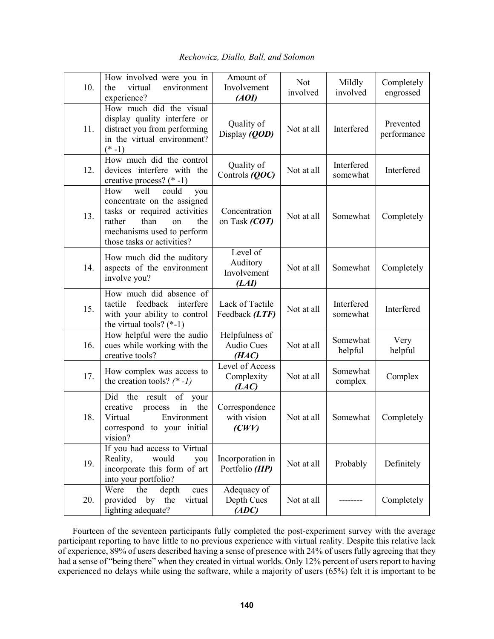| 10. | How involved were you in<br>virtual<br>the<br>environment<br>experience?                                                                                                              | Amount of<br>Involvement<br>(AOI)            | <b>Not</b><br>involved | Mildly<br>involved     | Completely<br>engrossed  |
|-----|---------------------------------------------------------------------------------------------------------------------------------------------------------------------------------------|----------------------------------------------|------------------------|------------------------|--------------------------|
| 11. | How much did the visual<br>display quality interfere or<br>distract you from performing<br>in the virtual environment?<br>$(* -1)$                                                    | Quality of<br>Display (QOD)                  | Not at all             | Interfered             | Prevented<br>performance |
| 12. | How much did the control<br>devices interfere with the<br>creative process? $(* -1)$                                                                                                  | Quality of<br>Controls (QOC)                 | Not at all             | Interfered<br>somewhat | Interfered               |
| 13. | could<br>How<br>well<br>you<br>concentrate on the assigned<br>tasks or required activities<br>rather<br>than<br>the<br>on<br>mechanisms used to perform<br>those tasks or activities? | Concentration<br>on Task $(COT)$             | Not at all             | Somewhat               | Completely               |
| 14. | How much did the auditory<br>aspects of the environment<br>involve you?                                                                                                               | Level of<br>Auditory<br>Involvement<br>(LAI) | Not at all             | Somewhat               | Completely               |
| 15. | How much did absence of<br>feedback<br>tactile<br>interfere<br>with your ability to control<br>the virtual tools? $(*-1)$                                                             | Lack of Tactile<br>Feedback (LTF)            | Not at all             | Interfered<br>somewhat | Interfered               |
| 16. | How helpful were the audio<br>cues while working with the<br>creative tools?                                                                                                          | Helpfulness of<br><b>Audio Cues</b><br>(HAC) | Not at all             | Somewhat<br>helpful    | Very<br>helpful          |
| 17. | How complex was access to<br>the creation tools? $(* -1)$                                                                                                                             | Level of Access<br>Complexity<br>(LAC)       | Not at all             | Somewhat<br>complex    | Complex                  |
| 18. | Did<br>the<br>result<br>of<br>your<br>the<br>creative<br>process<br>in<br>Virtual<br>Environment<br>correspond to your initial<br>vision?                                             | Correspondence<br>with vision<br>(CWV)       | Not at all             | Somewhat               | Completely               |
| 19. | If you had access to Virtual<br>Reality,<br>would<br>you<br>incorporate this form of art<br>into your portfolio?                                                                      | Incorporation in<br>Portfolio (IIP)          | Not at all             | Probably               | Definitely               |
| 20. | Were<br>the<br>depth<br>cues<br>provided by the<br>virtual<br>lighting adequate?                                                                                                      | Adequacy of<br>Depth Cues<br>(ADC)           | Not at all             |                        | Completely               |

*Rechowicz, Diallo, Ball, and Solomon*

Fourteen of the seventeen participants fully completed the post-experiment survey with the average participant reporting to have little to no previous experience with virtual reality. Despite this relative lack of experience, 89% of users described having a sense of presence with 24% of users fully agreeing that they had a sense of "being there" when they created in virtual worlds. Only 12% percent of users report to having experienced no delays while using the software, while a majority of users (65%) felt it is important to be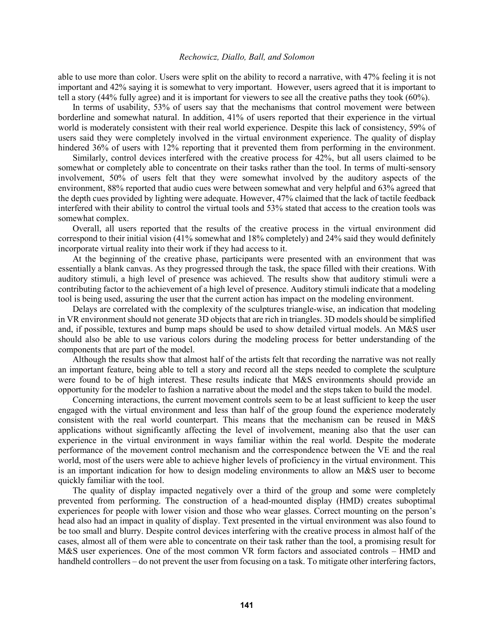able to use more than color. Users were split on the ability to record a narrative, with 47% feeling it is not important and 42% saying it is somewhat to very important. However, users agreed that it is important to tell a story (44% fully agree) and it is important for viewers to see all the creative paths they took (60%).

In terms of usability, 53% of users say that the mechanisms that control movement were between borderline and somewhat natural. In addition, 41% of users reported that their experience in the virtual world is moderately consistent with their real world experience. Despite this lack of consistency, 59% of users said they were completely involved in the virtual environment experience. The quality of display hindered 36% of users with 12% reporting that it prevented them from performing in the environment.

Similarly, control devices interfered with the creative process for 42%, but all users claimed to be somewhat or completely able to concentrate on their tasks rather than the tool. In terms of multi-sensory involvement, 50% of users felt that they were somewhat involved by the auditory aspects of the environment, 88% reported that audio cues were between somewhat and very helpful and 63% agreed that the depth cues provided by lighting were adequate. However, 47% claimed that the lack of tactile feedback interfered with their ability to control the virtual tools and 53% stated that access to the creation tools was somewhat complex.

Overall, all users reported that the results of the creative process in the virtual environment did correspond to their initial vision (41% somewhat and 18% completely) and 24% said they would definitely incorporate virtual reality into their work if they had access to it.

At the beginning of the creative phase, participants were presented with an environment that was essentially a blank canvas. As they progressed through the task, the space filled with their creations. With auditory stimuli, a high level of presence was achieved. The results show that auditory stimuli were a contributing factor to the achievement of a high level of presence. Auditory stimuli indicate that a modeling tool is being used, assuring the user that the current action has impact on the modeling environment.

Delays are correlated with the complexity of the sculptures triangle-wise, an indication that modeling in VR environment should not generate 3D objects that are rich in triangles. 3D models should be simplified and, if possible, textures and bump maps should be used to show detailed virtual models. An M&S user should also be able to use various colors during the modeling process for better understanding of the components that are part of the model.

Although the results show that almost half of the artists felt that recording the narrative was not really an important feature, being able to tell a story and record all the steps needed to complete the sculpture were found to be of high interest. These results indicate that M&S environments should provide an opportunity for the modeler to fashion a narrative about the model and the steps taken to build the model.

Concerning interactions, the current movement controls seem to be at least sufficient to keep the user engaged with the virtual environment and less than half of the group found the experience moderately consistent with the real world counterpart. This means that the mechanism can be reused in M&S applications without significantly affecting the level of involvement, meaning also that the user can experience in the virtual environment in ways familiar within the real world. Despite the moderate performance of the movement control mechanism and the correspondence between the VE and the real world, most of the users were able to achieve higher levels of proficiency in the virtual environment. This is an important indication for how to design modeling environments to allow an M&S user to become quickly familiar with the tool.

The quality of display impacted negatively over a third of the group and some were completely prevented from performing. The construction of a head-mounted display (HMD) creates suboptimal experiences for people with lower vision and those who wear glasses. Correct mounting on the person's head also had an impact in quality of display. Text presented in the virtual environment was also found to be too small and blurry. Despite control devices interfering with the creative process in almost half of the cases, almost all of them were able to concentrate on their task rather than the tool, a promising result for M&S user experiences. One of the most common VR form factors and associated controls – HMD and handheld controllers – do not prevent the user from focusing on a task. To mitigate other interfering factors,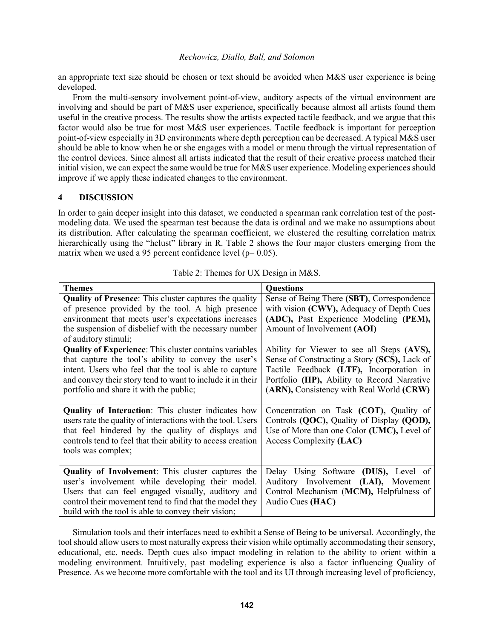an appropriate text size should be chosen or text should be avoided when M&S user experience is being developed.

From the multi-sensory involvement point-of-view, auditory aspects of the virtual environment are involving and should be part of M&S user experience, specifically because almost all artists found them useful in the creative process. The results show the artists expected tactile feedback, and we argue that this factor would also be true for most M&S user experiences. Tactile feedback is important for perception point-of-view especially in 3D environments where depth perception can be decreased. A typical M&S user should be able to know when he or she engages with a model or menu through the virtual representation of the control devices. Since almost all artists indicated that the result of their creative process matched their initial vision, we can expect the same would be true for M&S user experience. Modeling experiences should improve if we apply these indicated changes to the environment.

# **4 DISCUSSION**

In order to gain deeper insight into this dataset, we conducted a spearman rank correlation test of the postmodeling data. We used the spearman test because the data is ordinal and we make no assumptions about its distribution. After calculating the spearman coefficient, we clustered the resulting correlation matrix hierarchically using the "hclust" library in R. Table 2 shows the four major clusters emerging from the matrix when we used a 95 percent confidence level ( $p= 0.05$ ).

| <b>Themes</b>                                                                                                                                                                                                                                                                             | <b>Questions</b>                                                                                                                                                                                                                   |
|-------------------------------------------------------------------------------------------------------------------------------------------------------------------------------------------------------------------------------------------------------------------------------------------|------------------------------------------------------------------------------------------------------------------------------------------------------------------------------------------------------------------------------------|
| <b>Quality of Presence:</b> This cluster captures the quality<br>of presence provided by the tool. A high presence<br>environment that meets user's expectations increases<br>the suspension of disbelief with the necessary number<br>of auditory stimuli;                               | Sense of Being There (SBT), Correspondence<br>with vision (CWV), Adequacy of Depth Cues<br>(ADC), Past Experience Modeling (PEM),<br>Amount of Involvement (AOI)                                                                   |
| <b>Quality of Experience:</b> This cluster contains variables<br>that capture the tool's ability to convey the user's<br>intent. Users who feel that the tool is able to capture<br>and convey their story tend to want to include it in their<br>portfolio and share it with the public; | Ability for Viewer to see all Steps (AVS),<br>Sense of Constructing a Story (SCS), Lack of<br>Tactile Feedback (LTF), Incorporation in<br>Portfolio (IIP), Ability to Record Narrative<br>(ARN), Consistency with Real World (CRW) |
| <b>Quality of Interaction:</b> This cluster indicates how<br>users rate the quality of interactions with the tool. Users<br>that feel hindered by the quality of displays and<br>controls tend to feel that their ability to access creation<br>tools was complex;                        | Concentration on Task (COT), Quality of<br>Controls (QOC), Quality of Display (QOD),<br>Use of More than one Color (UMC), Level of<br>Access Complexity (LAC)                                                                      |
| <b>Quality of Involvement:</b> This cluster captures the<br>user's involvement while developing their model.<br>Users that can feel engaged visually, auditory and<br>control their movement tend to find that the model they<br>build with the tool is able to convey their vision;      | Delay Using Software (DUS), Level of<br>Auditory Involvement (LAI), Movement<br>Control Mechanism (MCM), Helpfulness of<br>Audio Cues (HAC)                                                                                        |

Table 2: Themes for UX Design in M&S.

Simulation tools and their interfaces need to exhibit a Sense of Being to be universal. Accordingly, the tool should allow users to most naturally express their vision while optimally accommodating their sensory, educational, etc. needs. Depth cues also impact modeling in relation to the ability to orient within a modeling environment. Intuitively, past modeling experience is also a factor influencing Quality of Presence. As we become more comfortable with the tool and its UI through increasing level of proficiency,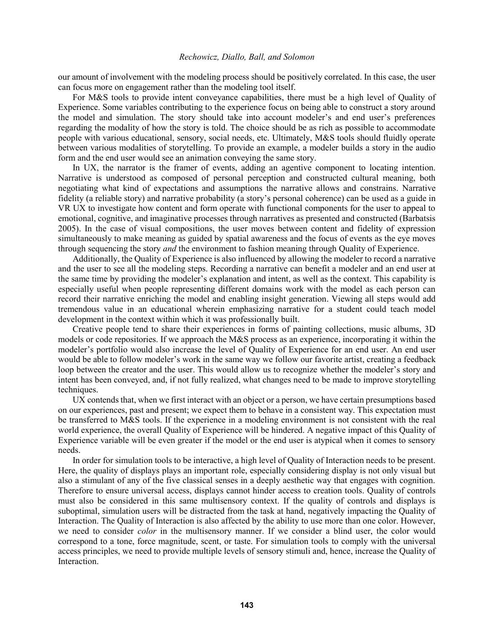our amount of involvement with the modeling process should be positively correlated. In this case, the user can focus more on engagement rather than the modeling tool itself.

For M&S tools to provide intent conveyance capabilities, there must be a high level of Quality of Experience. Some variables contributing to the experience focus on being able to construct a story around the model and simulation. The story should take into account modeler's and end user's preferences regarding the modality of how the story is told. The choice should be as rich as possible to accommodate people with various educational, sensory, social needs, etc. Ultimately, M&S tools should fluidly operate between various modalities of storytelling. To provide an example, a modeler builds a story in the audio form and the end user would see an animation conveying the same story.

In UX, the narrator is the framer of events, adding an agentive component to locating intention. Narrative is understood as composed of personal perception and constructed cultural meaning, both negotiating what kind of expectations and assumptions the narrative allows and constrains. Narrative fidelity (a reliable story) and narrative probability (a story's personal coherence) can be used as a guide in VR UX to investigate how content and form operate with functional components for the user to appeal to emotional, cognitive, and imaginative processes through narratives as presented and constructed (Barbatsis 2005). In the case of visual compositions, the user moves between content and fidelity of expression simultaneously to make meaning as guided by spatial awareness and the focus of events as the eye moves through sequencing the story *and* the environment to fashion meaning through Quality of Experience.

Additionally, the Quality of Experience is also influenced by allowing the modeler to record a narrative and the user to see all the modeling steps. Recording a narrative can benefit a modeler and an end user at the same time by providing the modeler's explanation and intent, as well as the context. This capability is especially useful when people representing different domains work with the model as each person can record their narrative enriching the model and enabling insight generation. Viewing all steps would add tremendous value in an educational wherein emphasizing narrative for a student could teach model development in the context within which it was professionally built.

Creative people tend to share their experiences in forms of painting collections, music albums, 3D models or code repositories. If we approach the M&S process as an experience, incorporating it within the modeler's portfolio would also increase the level of Quality of Experience for an end user. An end user would be able to follow modeler's work in the same way we follow our favorite artist, creating a feedback loop between the creator and the user. This would allow us to recognize whether the modeler's story and intent has been conveyed, and, if not fully realized, what changes need to be made to improve storytelling techniques.

UX contends that, when we first interact with an object or a person, we have certain presumptions based on our experiences, past and present; we expect them to behave in a consistent way. This expectation must be transferred to M&S tools. If the experience in a modeling environment is not consistent with the real world experience, the overall Quality of Experience will be hindered. A negative impact of this Quality of Experience variable will be even greater if the model or the end user is atypical when it comes to sensory needs.

In order for simulation tools to be interactive, a high level of Quality of Interaction needs to be present. Here, the quality of displays plays an important role, especially considering display is not only visual but also a stimulant of any of the five classical senses in a deeply aesthetic way that engages with cognition. Therefore to ensure universal access, displays cannot hinder access to creation tools. Quality of controls must also be considered in this same multisensory context. If the quality of controls and displays is suboptimal, simulation users will be distracted from the task at hand, negatively impacting the Quality of Interaction. The Quality of Interaction is also affected by the ability to use more than one color. However, we need to consider *color* in the multisensory manner. If we consider a blind user, the color would correspond to a tone, force magnitude, scent, or taste. For simulation tools to comply with the universal access principles, we need to provide multiple levels of sensory stimuli and, hence, increase the Quality of **Interaction**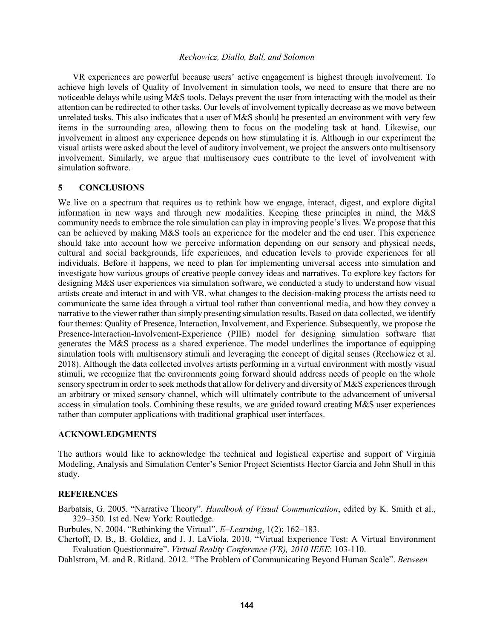VR experiences are powerful because users' active engagement is highest through involvement. To achieve high levels of Quality of Involvement in simulation tools, we need to ensure that there are no noticeable delays while using M&S tools. Delays prevent the user from interacting with the model as their attention can be redirected to other tasks. Our levels of involvement typically decrease as we move between unrelated tasks. This also indicates that a user of M&S should be presented an environment with very few items in the surrounding area, allowing them to focus on the modeling task at hand. Likewise, our involvement in almost any experience depends on how stimulating it is. Although in our experiment the visual artists were asked about the level of auditory involvement, we project the answers onto multisensory involvement. Similarly, we argue that multisensory cues contribute to the level of involvement with simulation software.

## **5 CONCLUSIONS**

We live on a spectrum that requires us to rethink how we engage, interact, digest, and explore digital information in new ways and through new modalities. Keeping these principles in mind, the M&S community needs to embrace the role simulation can play in improving people's lives. We propose that this can be achieved by making M&S tools an experience for the modeler and the end user. This experience should take into account how we perceive information depending on our sensory and physical needs, cultural and social backgrounds, life experiences, and education levels to provide experiences for all individuals. Before it happens, we need to plan for implementing universal access into simulation and investigate how various groups of creative people convey ideas and narratives. To explore key factors for designing M&S user experiences via simulation software, we conducted a study to understand how visual artists create and interact in and with VR, what changes to the decision-making process the artists need to communicate the same idea through a virtual tool rather than conventional media, and how they convey a narrative to the viewer rather than simply presenting simulation results. Based on data collected, we identify four themes: Quality of Presence, Interaction, Involvement, and Experience. Subsequently, we propose the Presence-Interaction-Involvement-Experience (PIIE) model for designing simulation software that generates the M&S process as a shared experience. The model underlines the importance of equipping simulation tools with multisensory stimuli and leveraging the concept of digital senses (Rechowicz et al. 2018). Although the data collected involves artists performing in a virtual environment with mostly visual stimuli, we recognize that the environments going forward should address needs of people on the whole sensory spectrum in order to seek methods that allow for delivery and diversity of M&S experiences through an arbitrary or mixed sensory channel, which will ultimately contribute to the advancement of universal access in simulation tools. Combining these results, we are guided toward creating M&S user experiences rather than computer applications with traditional graphical user interfaces.

#### **ACKNOWLEDGMENTS**

The authors would like to acknowledge the technical and logistical expertise and support of Virginia Modeling, Analysis and Simulation Center's Senior Project Scientists Hector Garcia and John Shull in this study.

## **REFERENCES**

Barbatsis, G. 2005. "Narrative Theory". *Handbook of Visual Communication*, edited by K. Smith et al., 329–350. 1st ed. New York: Routledge.

Burbules, N. 2004. "Rethinking the Virtual". *E–Learning*, 1(2): 162–183.

Chertoff, D. B., B. Goldiez, and J. J. LaViola. 2010. "Virtual Experience Test: A Virtual Environment Evaluation Questionnaire". *Virtual Reality Conference (VR), 2010 IEEE*: 103-110.

Dahlstrom, M. and R. Ritland. 2012. "The Problem of Communicating Beyond Human Scale". *Between*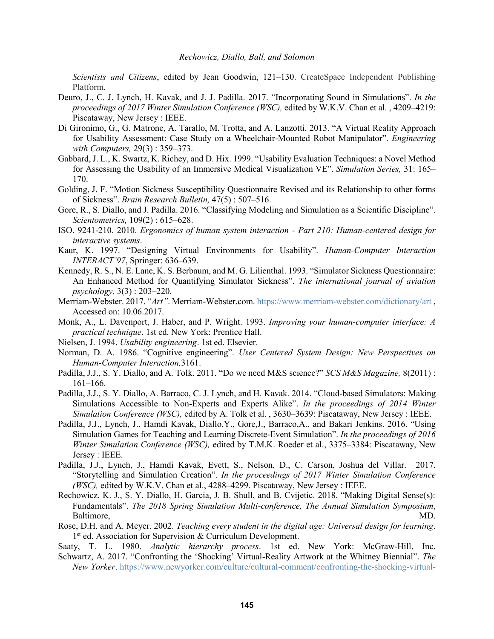*Scientists and Citizens*, edited by Jean Goodwin, 121–130. CreateSpace Independent Publishing Platform.

- Deuro, J., C. J. Lynch, H. Kavak, and J. J. Padilla. 2017. "Incorporating Sound in Simulations". *In the proceedings of 2017 Winter Simulation Conference (WSC),* edited by W.K.V. Chan et al. , 4209–4219: Piscataway, New Jersey : IEEE.
- Di Gironimo, G., G. Matrone, A. Tarallo, M. Trotta, and A. Lanzotti. 2013. "A Virtual Reality Approach for Usability Assessment: Case Study on a Wheelchair-Mounted Robot Manipulator". *Engineering with Computers,* 29(3) : 359–373.
- Gabbard,J. L., K. Swartz, K. Richey, and D. Hix. 1999. "Usability Evaluation Techniques: a Novel Method for Assessing the Usability of an Immersive Medical Visualization VE". *Simulation Series,* 31: 165– 170.
- Golding, J. F. "Motion Sickness Susceptibility Questionnaire Revised and its Relationship to other forms of Sickness". *Brain Research Bulletin,* 47(5) : 507–516.
- Gore, R., S. Diallo, and J. Padilla. 2016. "Classifying Modeling and Simulation as a Scientific Discipline". *Scientometrics,* 109(2) : 615–628.
- ISO. 9241-210. 2010. *Ergonomics of human system interaction - Part 210: Human-centered design for interactive systems*.
- Kaur, K. 1997. "Designing Virtual Environments for Usability". *Human-Computer Interaction INTERACT'97*, Springer: 636–639.
- Kennedy, R. S., N. E. Lane, K. S. Berbaum, and M. G. Lilienthal. 1993. "Simulator Sickness Questionnaire: An Enhanced Method for Quantifying Simulator Sickness". *The international journal of aviation psychology,* 3(3) : 203–220.
- Merriam-Webster. 2017. "*Art"*. Merriam-Webster.com. https://www.merriam-webster.com/dictionary/art , Accessed on: 10.06.2017.
- Monk, A., L. Davenport, J. Haber, and P. Wright. 1993. *Improving your human-computer interface: A practical technique*. 1st ed. New York: Prentice Hall.
- Nielsen, J. 1994. *Usability engineering*. 1st ed. Elsevier.
- Norman, D. A. 1986. "Cognitive engineering". *User Centered System Design: New Perspectives on Human-Computer Interaction,*3161.
- Padilla, J.J., S. Y. Diallo, and A. Tolk. 2011. "Do we need M&S science?" *SCS M&S Magazine,* 8(2011) : 161–166.
- Padilla, J.J., S. Y. Diallo, A. Barraco, C. J. Lynch, and H. Kavak. 2014. "Cloud-based Simulators: Making Simulations Accessible to Non-Experts and Experts Alike". *In the proceedings of 2014 Winter Simulation Conference (WSC),* edited by A. Tolk et al. , 3630–3639: Piscataway, New Jersey : IEEE.
- Padilla, J.J., Lynch, J., Hamdi Kavak, Diallo,Y., Gore,J., Barraco,A., and Bakari Jenkins. 2016. "Using Simulation Games for Teaching and Learning Discrete-Event Simulation". *In the proceedings of 2016 Winter Simulation Conference (WSC),* edited by T.M.K. Roeder et al., 3375–3384: Piscataway, New Jersey : IEEE.
- Padilla, J.J., Lynch, J., Hamdi Kavak, Evett, S., Nelson, D., C. Carson, Joshua del Villar. 2017. "Storytelling and Simulation Creation". *In the proceedings of 2017 Winter Simulation Conference (WSC),* edited by W.K.V. Chan et al., 4288–4299. Piscataway, New Jersey : IEEE.
- Rechowicz, K. J., S. Y. Diallo, H. Garcia, J. B. Shull, and B. Cvijetic. 2018. "Making Digital Sense(s): Fundamentals". *The 2018 Spring Simulation Multi-conference, The Annual Simulation Symposium*, Baltimore, MD.
- Rose, D.H. and A. Meyer. 2002. *Teaching every student in the digital age: Universal design for learning*. 1<sup>st</sup> ed. Association for Supervision & Curriculum Development.

Saaty, T. L. 1980. *Analytic hierarchy process*. 1st ed. New York: McGraw-Hill, Inc.

Schwartz, A. 2017. "Confronting the 'Shocking' Virtual-Reality Artwork at the Whitney Biennial". *The New Yorker*. https://www.newyorker.com/culture/cultural-comment/confronting-the-shocking-virtual-